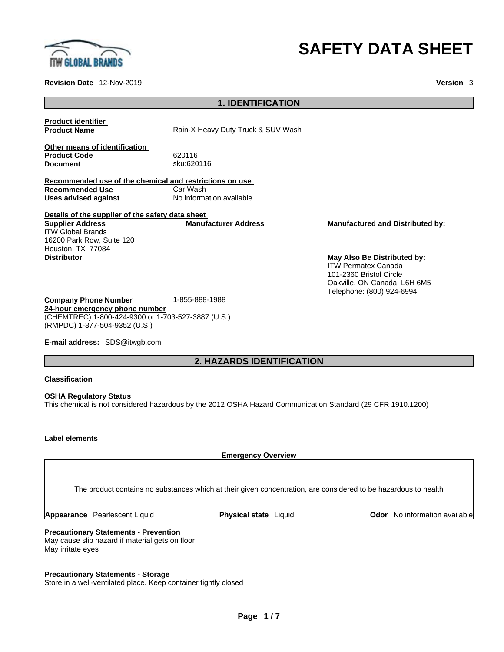

**Revision Date** 12-Nov-2019 **Version** 3

# **SAFETY DATA SHEET**

| <b>Product identifier</b><br><b>Product Name</b>                                                          | Rain-X Heavy Duty Truck & SUV Wash   |                                                                                                                                                  |  |
|-----------------------------------------------------------------------------------------------------------|--------------------------------------|--------------------------------------------------------------------------------------------------------------------------------------------------|--|
| Other means of identification<br><b>Product Code</b><br><b>Document</b>                                   | 620116<br>sku:620116                 |                                                                                                                                                  |  |
| Recommended use of the chemical and restrictions on use<br><b>Recommended Use</b><br>Uses advised against | Car Wash<br>No information available |                                                                                                                                                  |  |
| Details of the supplier of the safety data sheet                                                          |                                      |                                                                                                                                                  |  |
| <b>Supplier Address</b><br><b>ITW Global Brands</b><br>16200 Park Row, Suite 120<br>Houston, TX 77084     | <b>Manufacturer Address</b>          | <b>Manufactured and Distributed by:</b>                                                                                                          |  |
| <b>Distributor</b>                                                                                        |                                      | May Also Be Distributed by:<br><b>ITW Permatex Canada</b><br>101-2360 Bristol Circle<br>Oakville, ON Canada L6H 6M5<br>Telephone: (800) 924-6994 |  |

**Company Phone Number** 1-855-888-1988 **24-hour emergency phone number** (CHEMTREC) 1-800-424-9300 or 1-703-527-3887 (U.S.) (RMPDC) 1-877-504-9352 (U.S.)

**E-mail address:** SDS@itwgb.com

## **2. HAZARDS IDENTIFICATION**

**1. IDENTIFICATION** 

**Classification**

**OSHA Regulatory Status** This chemical is not considered hazardous by the 2012 OSHA Hazard Communication Standard (29 CFR 1910.1200)

#### **Label elements**

**Emergency Overview Precautionary Statements - Prevention** May cause slip hazard if material gets on floor May irritate eyes The product contains no substances which at their given concentration, are considered to be hazardous to health **Appearance** Pearlescent Liquid **Physical state** Liquid **Odor** No information available

**Precautionary Statements - Storage**

Store in a well-ventilated place. Keep container tightly closed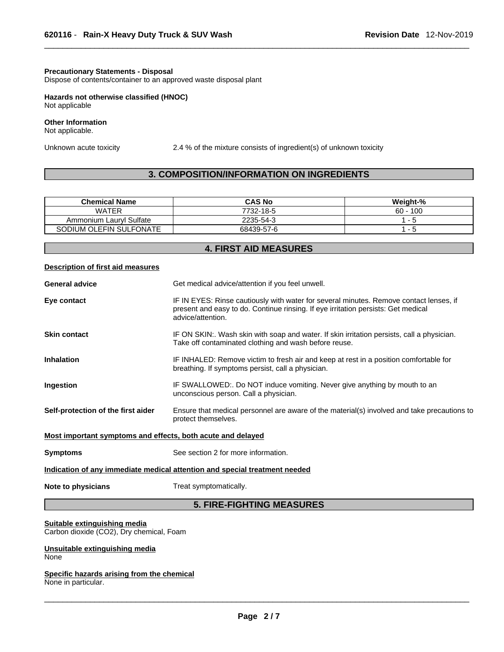#### **Precautionary Statements - Disposal**

Dispose of contents/container to an approved waste disposal plant

**Hazards not otherwise classified (HNOC)**  Not applicable

#### **Other Information**  Not applicable.

Unknown acute toxicity 2.4 % of the mixture consists of ingredient(s) of unknown toxicity

#### **3. COMPOSITION/INFORMATION ON INGREDIENTS**

| <b>Chemical Name</b>       | <b>CAS No</b> | Weight-%    |
|----------------------------|---------------|-------------|
| <b>WATER</b>               | 7732-18-5     | 100<br>60 - |
| Lauryl Sulfate<br>Ammonium | 2235-54-3     | - 0         |
| SODIUM OLEFIN SULFONATE    | 68439-57-6    | - 51        |

| <b>4. FIRST AID MEASURES</b>                                |                                                                                                                                                                                                  |  |
|-------------------------------------------------------------|--------------------------------------------------------------------------------------------------------------------------------------------------------------------------------------------------|--|
| Description of first aid measures                           |                                                                                                                                                                                                  |  |
| <b>General advice</b>                                       | Get medical advice/attention if you feel unwell.                                                                                                                                                 |  |
| Eye contact                                                 | IF IN EYES: Rinse cautiously with water for several minutes. Remove contact lenses, if<br>present and easy to do. Continue rinsing. If eye irritation persists: Get medical<br>advice/attention. |  |
| <b>Skin contact</b>                                         | IF ON SKIN:. Wash skin with soap and water. If skin irritation persists, call a physician.<br>Take off contaminated clothing and wash before reuse.                                              |  |
| <b>Inhalation</b>                                           | IF INHALED: Remove victim to fresh air and keep at rest in a position comfortable for<br>breathing. If symptoms persist, call a physician.                                                       |  |
| Ingestion                                                   | IF SWALLOWED:. Do NOT induce vomiting. Never give anything by mouth to an<br>unconscious person. Call a physician.                                                                               |  |
| Self-protection of the first aider                          | Ensure that medical personnel are aware of the material(s) involved and take precautions to<br>protect themselves.                                                                               |  |
| Most important symptoms and effects, both acute and delayed |                                                                                                                                                                                                  |  |
| <b>Symptoms</b>                                             | See section 2 for more information.                                                                                                                                                              |  |
|                                                             | Indication of any immediate medical attention and special treatment needed                                                                                                                       |  |
| Note to physicians                                          | Treat symptomatically.                                                                                                                                                                           |  |
|                                                             | <b>5. FIRE-FIGHTING MEASURES</b>                                                                                                                                                                 |  |

#### **Suitable extinguishing media**

Carbon dioxide (CO2), Dry chemical, Foam

#### **Unsuitable extinguishing media None**

## **Specific hazards arising from the chemical**

None in particular.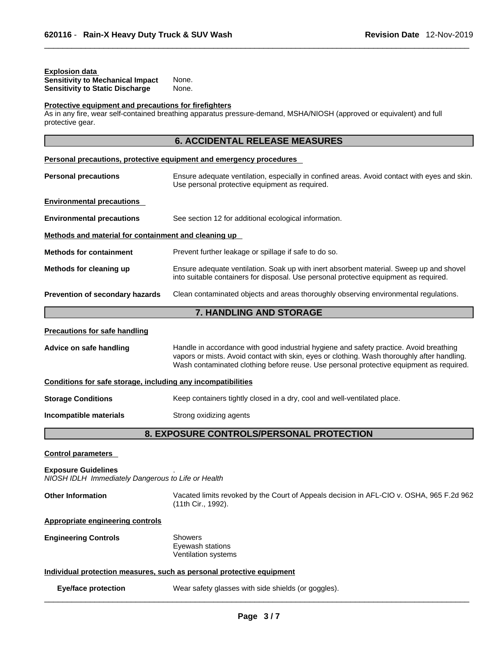#### **Explosion data**

| <b>Sensitivity to Mechanical Impact</b> | None. |
|-----------------------------------------|-------|
| <b>Sensitivity to Static Discharge</b>  | None. |

## **Protective equipment and precautions for firefighters**

As in any fire, wear self-contained breathing apparatus pressure-demand, MSHA/NIOSH (approved or equivalent) and full protective gear.

| μινι <del>σ</del> υιιν <del>ο</del> γ <del>ο</del> αι.                           |                                                                                                                                                                                                                                                                                  |
|----------------------------------------------------------------------------------|----------------------------------------------------------------------------------------------------------------------------------------------------------------------------------------------------------------------------------------------------------------------------------|
|                                                                                  | <b>6. ACCIDENTAL RELEASE MEASURES</b>                                                                                                                                                                                                                                            |
|                                                                                  | Personal precautions, protective equipment and emergency procedures                                                                                                                                                                                                              |
| <b>Personal precautions</b>                                                      | Ensure adequate ventilation, especially in confined areas. Avoid contact with eyes and skin.<br>Use personal protective equipment as required.                                                                                                                                   |
| <b>Environmental precautions</b>                                                 |                                                                                                                                                                                                                                                                                  |
| <b>Environmental precautions</b>                                                 | See section 12 for additional ecological information.                                                                                                                                                                                                                            |
| Methods and material for containment and cleaning up                             |                                                                                                                                                                                                                                                                                  |
| <b>Methods for containment</b>                                                   | Prevent further leakage or spillage if safe to do so.                                                                                                                                                                                                                            |
| Methods for cleaning up                                                          | Ensure adequate ventilation. Soak up with inert absorbent material. Sweep up and shovel<br>into suitable containers for disposal. Use personal protective equipment as required.                                                                                                 |
| Prevention of secondary hazards                                                  | Clean contaminated objects and areas thoroughly observing environmental regulations.                                                                                                                                                                                             |
|                                                                                  | 7. HANDLING AND STORAGE                                                                                                                                                                                                                                                          |
| <b>Precautions for safe handling</b>                                             |                                                                                                                                                                                                                                                                                  |
| Advice on safe handling                                                          | Handle in accordance with good industrial hygiene and safety practice. Avoid breathing<br>vapors or mists. Avoid contact with skin, eyes or clothing. Wash thoroughly after handling.<br>Wash contaminated clothing before reuse. Use personal protective equipment as required. |
| Conditions for safe storage, including any incompatibilities                     |                                                                                                                                                                                                                                                                                  |
| <b>Storage Conditions</b>                                                        | Keep containers tightly closed in a dry, cool and well-ventilated place.                                                                                                                                                                                                         |
| Incompatible materials                                                           | Strong oxidizing agents                                                                                                                                                                                                                                                          |
|                                                                                  | 8. EXPOSURE CONTROLS/PERSONAL PROTECTION                                                                                                                                                                                                                                         |
| <b>Control parameters</b>                                                        |                                                                                                                                                                                                                                                                                  |
| <b>Exposure Guidelines</b><br>NIOSH IDLH Immediately Dangerous to Life or Health |                                                                                                                                                                                                                                                                                  |
| <b>Other Information</b>                                                         | Vacated limits revoked by the Court of Appeals decision in AFL-CIO v. OSHA, 965 F.2d 962<br>(11th Cir., 1992).                                                                                                                                                                   |
|                                                                                  |                                                                                                                                                                                                                                                                                  |

**Appropriate engineering controls**

| <b>Engineering Controls</b> | Showers             |  |
|-----------------------------|---------------------|--|
|                             | Eyewash stations    |  |
|                             | Ventilation systems |  |

#### **Individual protection measures, such as personal protective equipment**

| Eye/face protection | Wear safety glasses with side shields (or goggles). |
|---------------------|-----------------------------------------------------|
|---------------------|-----------------------------------------------------|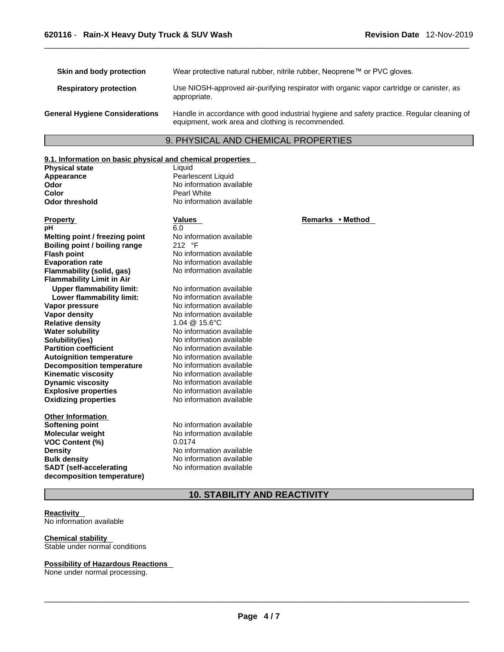| Skin and body protection              | Wear protective natural rubber, nitrile rubber, Neoprene™ or PVC gloves.                                                                        |
|---------------------------------------|-------------------------------------------------------------------------------------------------------------------------------------------------|
| <b>Respiratory protection</b>         | Use NIOSH-approved air-purifying respirator with organic vapor cartridge or canister, as<br>appropriate.                                        |
| <b>General Hygiene Considerations</b> | Handle in accordance with good industrial hygiene and safety practice. Regular cleaning of<br>equipment, work area and clothing is recommended. |

### 9. PHYSICAL AND CHEMICAL PROPERTIES

#### **9.1. Information on basic physical and chemical properties**

**Physical state** Liquid<br> **Appearance** Pearle **Appearance Community Pearlescent Liquid Odor**<br> **Pearlescent Liquid Odor Color Color Pearl White** 

**Explosive properties**<br> **Oxidizing properties**<br>
No information available **Oxidizing properties Property Remarks •** Method **Values Remarks** • Method **pH** 6.0 **Melting point / freezing point** No information available<br> **Boiling point / boiling range** 212 °F **Boiling point / boiling range Flash point** No information available **Evaporation rate rate** No information available<br> **Flammability (solid. gas)** No information available **Flammability** (solid, gas) **Flammability Limit in Air Upper flammability limit:** No information available **Lower flammability limit:** No information available **Vapor pressure** No information available **Vapor density**<br> **Relative density**<br> **Relative density**<br> **No information available**<br>  $1.04 \& 15.6^{\circ} \text{C}$ **Relative density Water solubility <br>
<b>Solubility (ies)** No information available<br>
No information available **Partition coefficient**<br> **Autoignition temperature**<br>
No information available **Autoignition temperature Decomposition temperature** No information available **Kinematic viscosity** No information available **Dynamic viscosity** No information available

**Other Information Molecular weight** No information available **VOC Content (%)** 0.0174 **Density No information available Bulk density No information available SADT (self-accelerating decomposition temperature)**

**No information available Odor threshold** No information available

No information available<br>No information available

**Softening point** No information available No information available

#### **10. STABILITY AND REACTIVITY**

#### **Reactivity**

No information available

**Chemical stability**  Stable under normal conditions

#### **Possibility of Hazardous Reactions**

None under normal processing.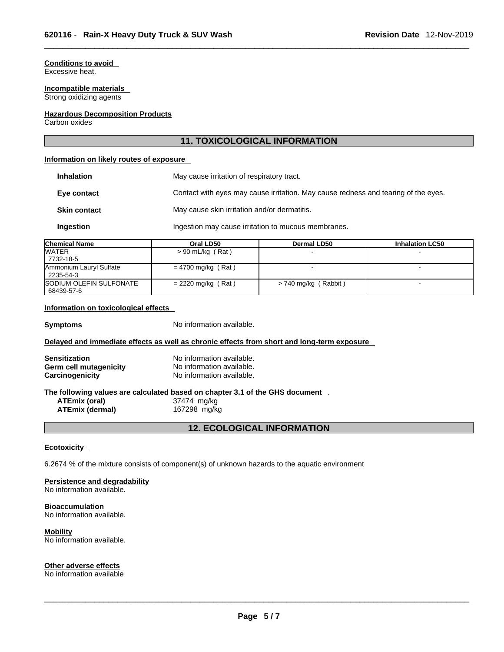## **Conditions to avoid**

Excessive heat.

#### **Incompatible materials**  Strong oxidizing agents

#### **Hazardous Decomposition Products**

Carbon oxides

#### **11. TOXICOLOGICAL INFORMATION**

#### **Information on likely routes of exposure**

| <b>Inhalation</b>   | May cause irritation of respiratory tract.                                         |
|---------------------|------------------------------------------------------------------------------------|
| Eye contact         | Contact with eyes may cause irritation. May cause redness and tearing of the eyes. |
| <b>Skin contact</b> | May cause skin irritation and/or dermatitis.                                       |
| Ingestion           | Ingestion may cause irritation to mucous membranes.                                |

| <b>Chemical Name</b>    | Oral LD50            | <b>Dermal LD50</b>   | <b>Inhalation LC50</b> |
|-------------------------|----------------------|----------------------|------------------------|
| <b>WATER</b>            | $> 90$ mL/kg (Rat)   |                      |                        |
| 7732-18-5               |                      |                      |                        |
| Ammonium Lauryl Sulfate | $= 4700$ mg/kg (Rat) |                      | -                      |
| 2235-54-3               |                      |                      |                        |
| SODIUM OLEFIN SULFONATE | $= 2220$ mg/kg (Rat) | > 740 mg/kg (Rabbit) |                        |
| 68439-57-6              |                      |                      |                        |

#### **Information on toxicological effects**

**Symptoms** No information available.

#### **Delayed and immediate effects as well as chronic effects from short and long-term exposure**

| <b>Sensitization</b>   | No information available. |
|------------------------|---------------------------|
| Germ cell mutagenicity | No information available. |
| Carcinogenicity        | No information available. |

## **The following values are calculated based on chapter 3.1 of the GHS document** .

**ATEmix (oral)** 37474 mg/kg **ATEmix** (dermal)

**12. ECOLOGICAL INFORMATION** 

#### **Ecotoxicity**

6.2674 % of the mixture consists of component(s) of unknown hazards to the aquatic environment

#### **Persistence and degradability**

No information available.

#### **Bioaccumulation**

No information available.

#### **Mobility**

No information available.

#### **Other adverse effects**

No information available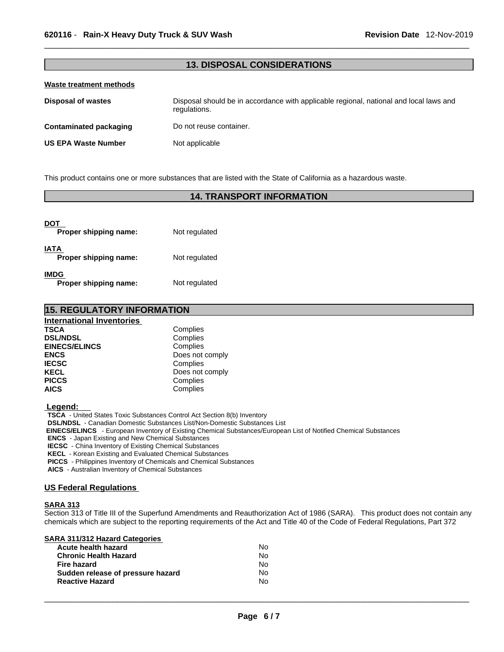#### **13. DISPOSAL CONSIDERATIONS**

#### **Waste treatment methods**

| Disposal of wastes     | Disposal should be in accordance with applicable regional, national and local laws and<br>regulations. |
|------------------------|--------------------------------------------------------------------------------------------------------|
| Contaminated packaging | Do not reuse container.                                                                                |
| US EPA Waste Number    | Not applicable                                                                                         |

This product contains one or more substances that are listed with the State of California as a hazardous waste.

#### **14. TRANSPORT INFORMATION**

| DOT<br>Proper shipping name:  | Not regulated |
|-------------------------------|---------------|
| IATA<br>Proper shipping name: | Not regulated |
| IMDG<br>Proper shipping name: | Not regulated |

#### **15. REGULATORY INFORMATION International Inventories TSCA** Complies<br> **DSL/NDSL** Complies **DSL/NDSL** Complies **EINECS/ELINCS ENCS** Does not comply<br> **IECSC** Complies **IECSC** Complies<br> **IECSC** Complies<br>
Does not **KECL**<br> **PICCS** Complies **PICCS** Complies<br> **AICS** Complies

 **Legend:** 

**TSCA** - United States Toxic Substances Control Act Section 8(b) Inventory

**DSL/NDSL** - Canadian Domestic Substances List/Non-Domestic Substances List

**AICS** Complies

 **EINECS/ELINCS** - European Inventory of Existing Chemical Substances/European List of Notified Chemical Substances

**ENCS** - Japan Existing and New Chemical Substances

**IECSC** - China Inventory of Existing Chemical Substances

**KECL** - Korean Existing and Evaluated Chemical Substances

**PICCS** - Philippines Inventory of Chemicals and Chemical Substances

**AICS** - Australian Inventory of Chemical Substances

#### **US Federal Regulations**

#### **SARA 313**

Section 313 of Title III of the Superfund Amendments and Reauthorization Act of 1986 (SARA). This product does not contain any chemicals which are subject to the reporting requirements of the Act and Title 40 of the Code of Federal Regulations, Part 372

| SARA 311/312 Hazard Categories    |    |  |
|-----------------------------------|----|--|
| Acute health hazard               | No |  |
| <b>Chronic Health Hazard</b>      | No |  |
| <b>Fire hazard</b>                | No |  |
| Sudden release of pressure hazard | No |  |
| <b>Reactive Hazard</b>            | No |  |
|                                   |    |  |